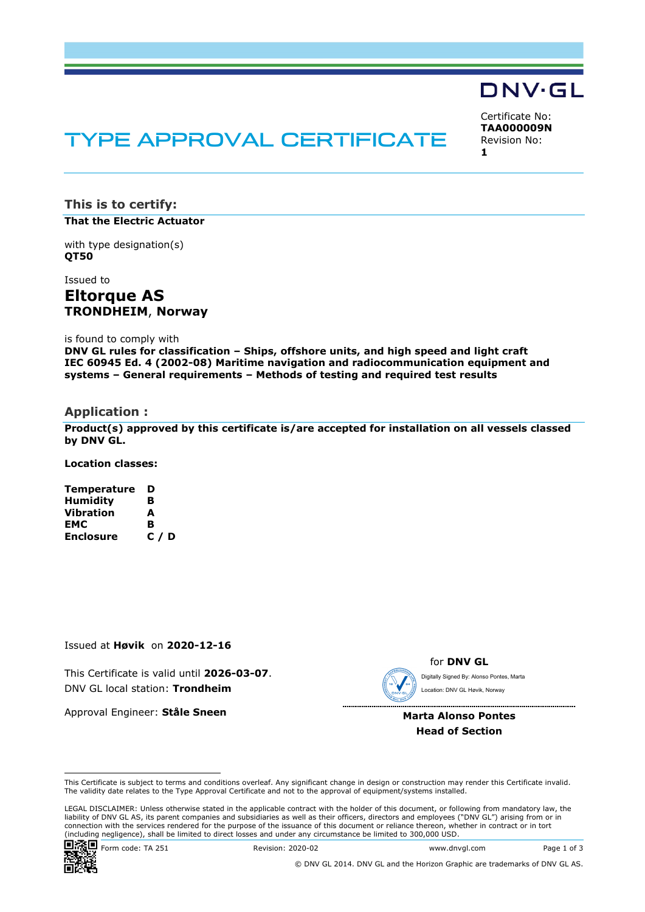# TYPE APPROVAL CERTIFICATE

Certificate No: **TAA000009N** Revision No: **1** 

DNV·GL

**This is to certify: That the Electric Actuator**

with type designation(s) **QT50**

Issued to

**Eltorque AS TRONDHEIM**, **Norway** 

is found to comply with

**DNV GL rules for classification – Ships, offshore units, and high speed and light craft IEC 60945 Ed. 4 (2002-08) Maritime navigation and radiocommunication equipment and systems – General requirements – Methods of testing and required test results** 

#### **Application :**

**Product(s) approved by this certificate is/are accepted for installation on all vessels classed by DNV GL.** 

**Location classes:** 

**Temperature D Humidity B Vibration A** EMC B<br>Enclosure C / D **Enclosure** 

Issued at **Høvik** on **2020-12-16**

This Certificate is valid until **2026-03-07**. DNV GL local station: **Trondheim**

Approval Engineer: **Ståle Sneen**

for **DNV GL** Digitally Signed By: Alonso Pontes, Marta Location: DNV GL Høvik, Norway

 ..................................... **Marta Alonso Pontes**

**Head of Section**

 LEGAL DISCLAIMER: Unless otherwise stated in the applicable contract with the holder of this document, or following from mandatory law, the liability of DNV GL AS, its parent companies and subsidiaries as well as their officers, directors and employees ("DNV GL") arising from or in connection with the services rendered for the purpose of the issuance of this document or reliance thereon, whether in contract or in tort<br>(including negligence), shall be limited to direct losses and under any circumstanc



**回馈回** Form code: TA 251 Revision: 2020-02 www.dnvgl.com Page 1 of 3

© DNV GL 2014. DNV GL and the Horizon Graphic are trademarks of DNV GL AS.

This Certificate is subject to terms and conditions overleaf. Any significant change in design or construction may render this Certificate invalid. The validity date relates to the Type Approval Certificate and not to the approval of equipment/systems installed.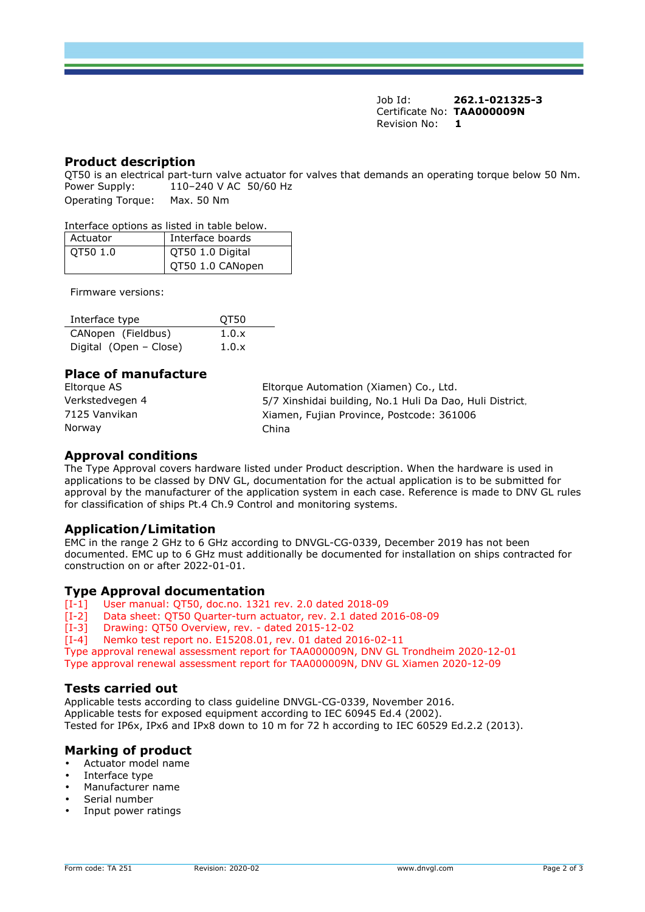Job Id: **262.1-021325-3** Certificate No: **TAA000009N** Revision No: **1** 

## **Product description**

QT50 is an electrical part-turn valve actuator for valves that demands an operating torque below 50 Nm.<br>Power Supply: 110-240 V AC 50/60 Hz  $110 - 240$  V AC 50/60 Hz

Operating Torque: Max. 50 Nm

#### Interface options as listed in table below.

| Actuator | Interface boards |
|----------|------------------|
| OT50 1.0 | QT50 1.0 Digital |
|          | QT50 1.0 CANopen |

Firmware versions:

| Interface type         | OT50  |
|------------------------|-------|
| CANopen (Fieldbus)     | 1.0.x |
| Digital (Open – Close) | 1.0.x |

# **Place of manufacture**

| Eltorque AS     | Eltorque Automation (Xiamen) Co., Ltd.                   |
|-----------------|----------------------------------------------------------|
| Verkstedvegen 4 | 5/7 Xinshidai building, No.1 Huli Da Dao, Huli District. |
| 7125 Vanvikan   | Xiamen, Fujian Province, Postcode: 361006                |
| Norway          | China                                                    |

### **Approval conditions**

The Type Approval covers hardware listed under Product description. When the hardware is used in applications to be classed by DNV GL, documentation for the actual application is to be submitted for approval by the manufacturer of the application system in each case. Reference is made to DNV GL rules for classification of ships Pt.4 Ch.9 Control and monitoring systems.

#### **Application/Limitation**

EMC in the range 2 GHz to 6 GHz according to DNVGL-CG-0339, December 2019 has not been documented. EMC up to 6 GHz must additionally be documented for installation on ships contracted for construction on or after 2022-01-01.

## **Type Approval documentation**

- [I-1] User manual: QT50, doc.no. 1321 rev. 2.0 dated 2018-09
- [I-2] Data sheet: QT50 Quarter-turn actuator, rev. 2.1 dated 2016-08-09
- [I-3] Drawing: QT50 Overview, rev. dated 2015-12-02
- [I-4] Nemko test report no. E15208.01, rev. 01 dated 2016-02-11
- Type approval renewal assessment report for TAA000009N, DNV GL Trondheim 2020-12-01

Type approval renewal assessment report for TAA000009N, DNV GL Xiamen 2020-12-09

#### **Tests carried out**

Applicable tests according to class guideline DNVGL-CG-0339, November 2016. Applicable tests for exposed equipment according to IEC 60945 Ed.4 (2002). Tested for IP6x, IPx6 and IPx8 down to 10 m for 72 h according to IEC 60529 Ed.2.2 (2013).

## **Marking of product**

- Actuator model name
- Interface type
- Manufacturer name
- Serial number
- Input power ratings